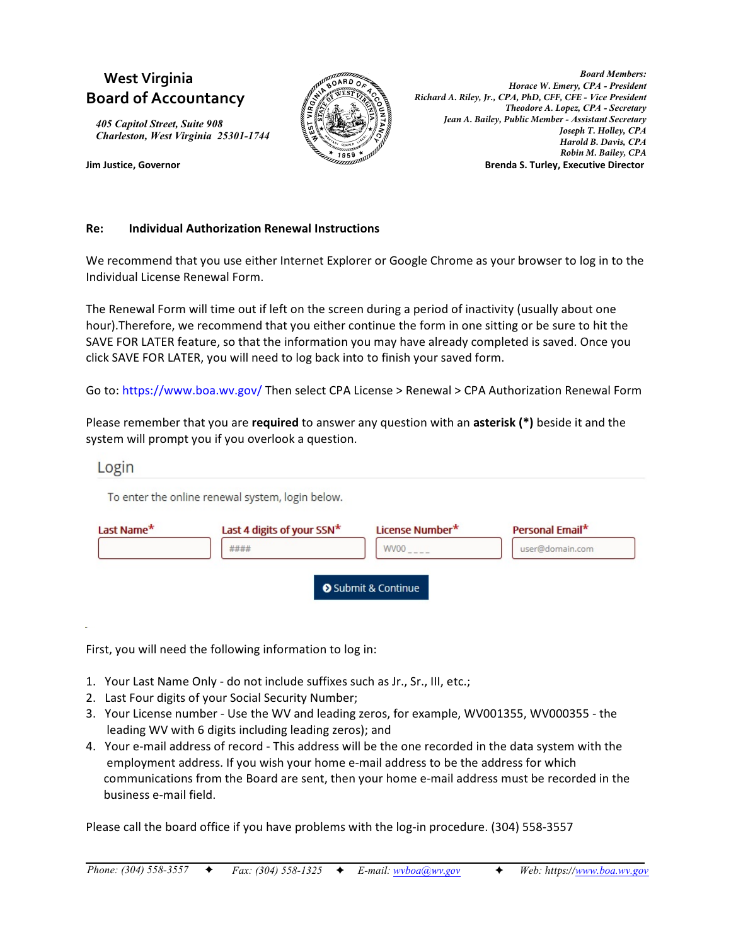# **West Virginia Board of Accountancy**

*405 Capitol Street, Suite 908 Charleston, West Virginia 25301-1744*



*Board Members: Horace W. Emery, CPA - President Richard A. Riley, Jr., CPA, PhD, CFF, CFE - Vice President Theodore A. Lopez, CPA - Secretary Jean A. Bailey, Public Member - Assistant Secretary Joseph T. Holley, CPA Harold B. Davis, CPA Robin M. Bailey, CPA* **Jim Justice, Governor Brenda S. Turley, Executive Director**

## **Re: Individual Authorization Renewal Instructions**

We recommend that you use either Internet Explorer or Google Chrome as your browser to log in to the Individual License Renewal Form.

The Renewal Form will time out if left on the screen during a period of inactivity (usually about one hour).Therefore, we recommend that you either continue the form in one sitting or be sure to hit the SAVE FOR LATER feature, so that the information you may have already completed is saved. Once you click SAVE FOR LATER, you will need to log back into to finish your saved form.

Go to: https://www.boa.wv.gov/ Then select CPA License > Renewal > CPA Authorization Renewal Form

Please remember that you are **required** to answer any question with an **asterisk (\*)** beside it and the system will prompt you if you overlook a question.

## Login

To enter the online renewal system, login below.

| Last Name* | Last 4 digits of your SSN* | License Number*   | Personal Email* |
|------------|----------------------------|-------------------|-----------------|
|            | ####                       | WV00              | user@domain.com |
|            |                            |                   |                 |
|            |                            | Submit & Continue |                 |

First, you will need the following information to log in:

- 1. Your Last Name Only do not include suffixes such as Jr., Sr., III, etc.;
- 2. Last Four digits of your Social Security Number;
- 3. Your License number Use the WV and leading zeros, for example, WV001355, WV000355 the leading WV with 6 digits including leading zeros); and
- 4. Your e-mail address of record This address will be the one recorded in the data system with the employment address. If you wish your home e-mail address to be the address for which communications from the Board are sent, then your home e-mail address must be recorded in the business e-mail field.

Please call the board office if you have problems with the log-in procedure. (304) 558-3557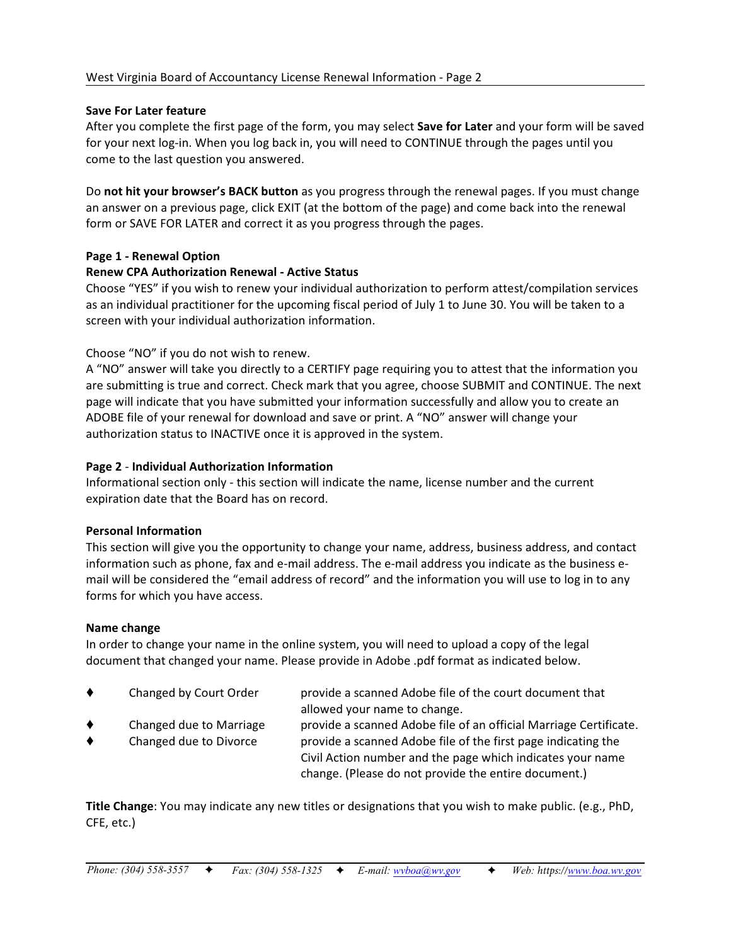## **Save For Later feature**

After you complete the first page of the form, you may select **Save for Later** and your form will be saved for your next log-in. When you log back in, you will need to CONTINUE through the pages until you come to the last question you answered.

Do **not hit your browser's BACK button** as you progress through the renewal pages. If you must change an answer on a previous page, click EXIT (at the bottom of the page) and come back into the renewal form or SAVE FOR LATER and correct it as you progress through the pages.

## **Page 1 - Renewal Option**

## **Renew CPA Authorization Renewal - Active Status**

Choose "YES" if you wish to renew your individual authorization to perform attest/compilation services as an individual practitioner for the upcoming fiscal period of July 1 to June 30. You will be taken to a screen with your individual authorization information.

## Choose "NO" if you do not wish to renew.

A "NO" answer will take you directly to a CERTIFY page requiring you to attest that the information you are submitting is true and correct. Check mark that you agree, choose SUBMIT and CONTINUE. The next page will indicate that you have submitted your information successfully and allow you to create an ADOBE file of your renewal for download and save or print. A "NO" answer will change your authorization status to INACTIVE once it is approved in the system.

#### **Page 2** - **Individual Authorization Information**

Informational section only - this section will indicate the name, license number and the current expiration date that the Board has on record.

#### **Personal Information**

This section will give you the opportunity to change your name, address, business address, and contact information such as phone, fax and e-mail address. The e-mail address you indicate as the business email will be considered the "email address of record" and the information you will use to log in to any forms for which you have access.

#### **Name change**

In order to change your name in the online system, you will need to upload a copy of the legal document that changed your name. Please provide in Adobe .pdf format as indicated below.

| ٠      | Changed by Court Order                            | provide a scanned Adobe file of the court document that<br>allowed your name to change.                                                                                                                                                                  |
|--------|---------------------------------------------------|----------------------------------------------------------------------------------------------------------------------------------------------------------------------------------------------------------------------------------------------------------|
| ٠<br>٠ | Changed due to Marriage<br>Changed due to Divorce | provide a scanned Adobe file of an official Marriage Certificate.<br>provide a scanned Adobe file of the first page indicating the<br>Civil Action number and the page which indicates your name<br>change. (Please do not provide the entire document.) |

**Title Change**: You may indicate any new titles or designations that you wish to make public. (e.g., PhD, CFE, etc.)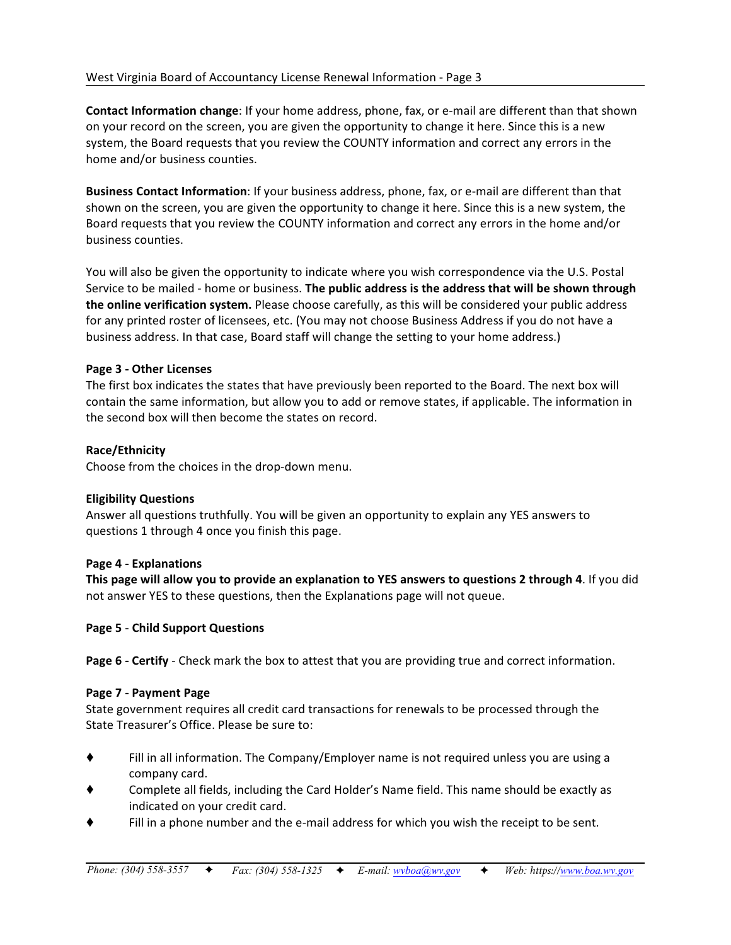**Contact Information change**: If your home address, phone, fax, or e-mail are different than that shown on your record on the screen, you are given the opportunity to change it here. Since this is a new system, the Board requests that you review the COUNTY information and correct any errors in the home and/or business counties.

**Business Contact Information**: If your business address, phone, fax, or e-mail are different than that shown on the screen, you are given the opportunity to change it here. Since this is a new system, the Board requests that you review the COUNTY information and correct any errors in the home and/or business counties.

You will also be given the opportunity to indicate where you wish correspondence via the U.S. Postal Service to be mailed - home or business. **The public address is the address that will be shown through the online verification system.** Please choose carefully, as this will be considered your public address for any printed roster of licensees, etc. (You may not choose Business Address if you do not have a business address. In that case, Board staff will change the setting to your home address.)

## **Page 3 - Other Licenses**

The first box indicates the states that have previously been reported to the Board. The next box will contain the same information, but allow you to add or remove states, if applicable. The information in the second box will then become the states on record.

# **Race/Ethnicity**

Choose from the choices in the drop-down menu.

## **Eligibility Questions**

Answer all questions truthfully. You will be given an opportunity to explain any YES answers to questions 1 through 4 once you finish this page.

## **Page 4 - Explanations**

**This page will allow you to provide an explanation to YES answers to questions 2 through 4**. If you did not answer YES to these questions, then the Explanations page will not queue.

## **Page 5** - **Child Support Questions**

**Page 6 - Certify** - Check mark the box to attest that you are providing true and correct information.

## **Page 7 - Payment Page**

State government requires all credit card transactions for renewals to be processed through the State Treasurer's Office. Please be sure to:

- Fill in all information. The Company/Employer name is not required unless you are using a company card.
- Complete all fields, including the Card Holder's Name field. This name should be exactly as indicated on your credit card.
- Fill in a phone number and the e-mail address for which you wish the receipt to be sent.